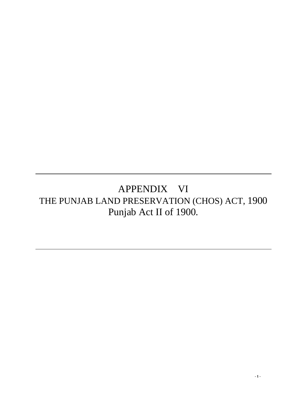# APPENDIX VI THE PUNJAB LAND PRESERVATION (CHOS) ACT, 1900 Punjab Act II of 1900.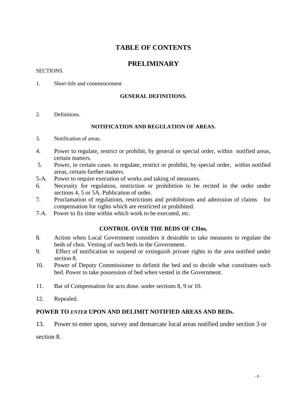# **TABLE OF CONTENTS**

# **PRELIMINARY**

#### SECTIONS.

1. Short title and commencement

## **GENERAL DEFINITIONS.**

2. Definitions.

## **NOTIFICATION AND REGULATION OF AREAS.**

- 3. Notification of areas.
- 4. Power to regulate, restrict or prohibit, by general or special order, within notified areas, certain matters.
- 5. Power, in certain cases. to regulate, restrict or prohibit, by special order, within notified areas, certain further matters.
- 5-A. Power to require execution of works and taking of measures.
- 6. Necessity for regulation, restriction or prohibition to be recited in the order under sections 4, 5 or 5A. Publication of order.
- 7. Proclamation of regulations, restrictions and prohibitions and admission of claims for compensation for rights which are restricted or prohibited.
- 7-A. Power to fix time within which work to be executed, etc.

## **CONTROL OVER THE BEDS OF CHos.**

- 8. Action when Local Government considers it desirable to take measures to regulate the beds of chos. Vesting of such beds in the Government.
- 9. Effect of notification to suspend or extinguish private rights in the area notified under section 8.
- 10. Power of Deputy Commissioner to delimit the bed and to decide what constitutes such bed. Power to take possession of bed when vested in the Government.
- 11. Bar of Compensation for acts done. under sections 8, 9 or 10.
- 12. Repealed.

## **POWER TO** *ENTER* **UPON AND DELIMIT NOTIFIED AREAS AND BEDs.**

13. Power to enter upon, survey and demarcate local areas notified under section 3 or

section 8.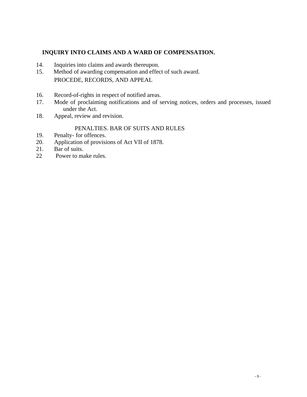## **INQUIRY INTO CLAIMS AND A WARD OF COMPENSATION.**

- 14. Inquiries into claims and awards thereupon.
- 15. Method of awarding compensation and effect of such award. PROCEDE, RECORDS, AND APPEAL
- 16. Record-of-rights in respect of notified areas.
- 17. Mode of proclaiming notifications and of serving notices, orders and processes, issued under the Act.
- 18. Appeal, review and revision.

## PENALTIES. BAR OF SUITS AND RULES

- 19. Penalty- for offences.
- 20. Application of provisions of Act VII of 1878.
- 21. Bar of suits.
- 22 Power to make rules.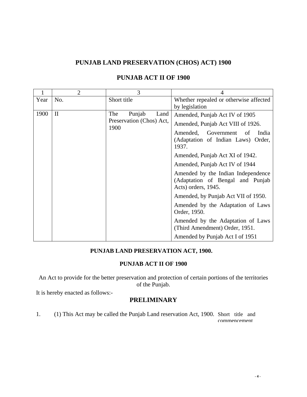## **PUNJAB LAND PRESERVATION (CHOS) ACT) 1900**

| $\mathbf{1}$ | $\overline{2}$ | 3                                                         |                                                                                               |
|--------------|----------------|-----------------------------------------------------------|-----------------------------------------------------------------------------------------------|
| Year         | No.            | Short title                                               | Whether repealed or otherwise affected<br>by legislation                                      |
| 1900         | $\mathbf{I}$   | Punjab<br>The<br>Land<br>Preservation (Chos) Act,<br>1900 | Amended, Punjab Act IV of 1905<br>Amended, Punjab Act VIII of 1926.                           |
|              |                |                                                           | Amended,<br>Government<br>India<br>of<br>(Adaptation of Indian Laws) Order,<br>1937.          |
|              |                |                                                           | Amended, Punjab Act XI of 1942.                                                               |
|              |                |                                                           | Amended, Punjab Act IV of 1944                                                                |
|              |                |                                                           | Amended by the Indian Independence<br>(Adaptation of Bengal and Punjab<br>Acts) orders, 1945. |
|              |                |                                                           | Amended, by Punjab Act VII of 1950.                                                           |
|              |                |                                                           | Amended by the Adaptation of Laws<br>Order, 1950.                                             |
|              |                |                                                           | Amended by the Adaptation of Laws<br>(Third Amendment) Order, 1951.                           |
|              |                |                                                           | Amended by Punjab Act I of 1951                                                               |

# **PUNJAB ACT II OF 1900**

## **PUNJAB LAND PRESERVATION ACT, 1900.**

## **PUNJAB ACT II OF 1900**

An Act to provide for the better preservation and protection of certain portions of the territories of the Punjab.

It is hereby enacted as follows:-

## **PRELIMINARY**

1. (1) This Act may be called the Punjab Land reservation Act, 1900. Short title and commencement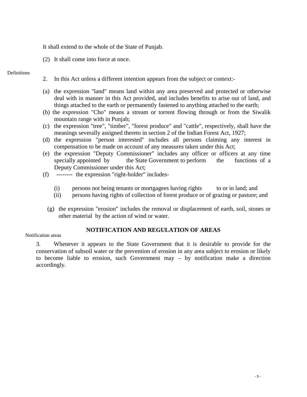It shall extend to the whole of the State of Punjab.

(2) It shall come into force at once.

#### Definitions

- 2. In this Act unless a different intention appears from the subject or context:-
- (a) the expression "land" means land within any area preserved and protected or otherwise deal with in manner in this Act provided, and includes benefits to arise out of land, and things attached to the earth or permanently fastened to anything attached to the earth;
- (b) the expression "Cho" means a stream or torrent flowing through or from the Siwalik mountain range with in Punjab;
- (c) the expression "tree", "timber", "forest produce" and "cattle", respectively, shall have the meanings severally assigned thereto in section 2 of the Indian Forest Act, 1927;
- (d) the expression "person interested" includes all persons claiming any interest in compensation to be made on account of any measures taken under this Act;
- (e) the expression "Deputy Commissioner" includes any officer or officers at any time specially appointed by the State Government to perform the functions of a Deputy Commissioner under this Act;
- (f) -------- the expression "right-holder" includes-
	- (i) persons not being tenants or mortgagees having rights to or in land; and
	- (ii) persons having rights of collection of forest produce or of grazing or pasture; and
	- (g) the expression "erosion" includes the removal or displacement of earth, soil, stones or other material by the action of wind or water.

## **NOTIFICATION AND REGULATION OF AREAS**

#### Notification areas

3. Whenever it appears to the State Government that it is desirable to provide for the conservation of subsoil water or the prevention of erosion in any area subject to erosion or likely to become liable to erosion, such Government may – by notification make a direction accordingly.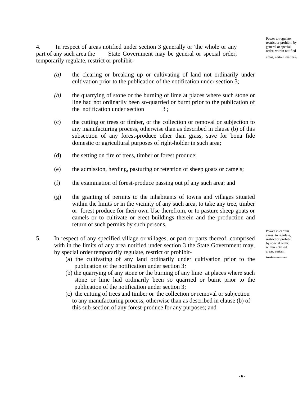Power to regulate, restrict or prohibit, by general or special order, within notified

areas, certain matters.

4. In respect of areas notified under section 3 generally or 'the whole or any part of any such area the State Government may be general or special order, temporarily regulate, restrict or prohibit-

- *(a)* the clearing or breaking up or cultivating of land not ordinarily under cultivation prior to the publication of the notification under section 3;
- *(b)* the quarrying of stone or the burning of lime at places where such stone or line had not ordinarily been so-quarried or burnt prior to the publication of the notification under section  $3;$
- (c)the cutting or trees or timber, or the collection or removal or subjection to any manufacturing process, otherwise than as described in clause (b) of this subsection of any forest-produce other than grass, save for bona fide domestic or agricultural purposes of right-holder in such area;
- (d)the setting on fire of trees, timber or forest produce;
- (e)the admission, herding, pasturing or retention of sheep goats or camels;
- (f) the examination of forest-produce passing out pf any such area; and
- (g)the granting of permits to the inhabitants of towns and villages situated within the limits or in the vicinity of any such area, to take any tree, timber or forest produce for their own Use therefrom, or to pasture sheep goats or camels or to cultivate or erect buildings therein and the production and return of such permits by such persons,
- 5. In respect of any specified village or villages, or part or parts thereof, comprised with in the limits of any area notified under section 3 the State Government may, by special order temporarily regulate, restrict or prohibit-
	- (a) the cultivating of any land ordinarily under cultivation prior to the publication of the notification under section 3*:*
	- (b) the quarrying of any stone or the burning of any lime at places where such stone or lime had ordinarily been so quarried or burnt prior to the publication of the notification under section 3;
	- (c) the cutting of trees and timber or 'the collection or removal or subjection to any manufacturing process, otherwise than as described in clause (b) of this sub-section of any forest-produce for any purposes; and

Power in certain cases, to regulate, restrict or prohibit by special order, within notified areas, certain

further matters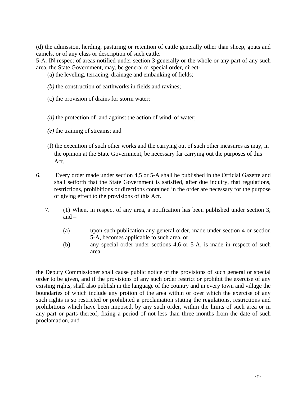(d) the admission, herding, pasturing or retention of cattle generally other than sheep, goats and camels, or of any class or description of such cattle.

5-A. IN respect of areas notified under section 3 generally or the whole or any part of any such area, the State Government, may, be general or special order, direct-

(a) the leveling, terracing, drainage and embanking of fields;

- *(b)* the construction of earthworks in fields and ravines;
- (c) the provision of drains for storm water;
- *(d)* the protection of land against the action of wind of water;
- *(e)* the training of streams; and
- (f) the execution of such other works and the carrying out of such other measures as may, in the opinion at the State Government, be necessary far carrying out the purposes of this Act.
- 6. Every order made under section 4,5 or 5-A shall be published in the Official Gazette and shall setforth that the State Government is satisfied, after due inquiry, that regulations, restrictions, prohibitions or directions contained in the order are necessary for the purpose of giving effect to the provisions of this Act.
	- 7. (1) When, in respect of any area, a notification has been published under section 3, and –
		- (a) upon such publication any general order, made under section 4 or section 5-A, becomes applicable to such area, or
		- (b) any special order under sections 4,6 or 5-A, is made in respect of such area,

the Deputy Commissioner shall cause public notice of the provisions of such general or special order to be given, and if the provisions of any such order restrict or prohibit the exercise of any existing rights, shall also publish in the language of the country and in every town and village the boundaries of which include any protion of the area within or over which the exercise of any such rights is so restricted or prohibited a proclamation stating the regulations, restrictions and prohibitions which have been imposed, by any such order, within the limits of such area or in any part or parts thereof; fixing a period of not less than three months from the date of such proclamation, and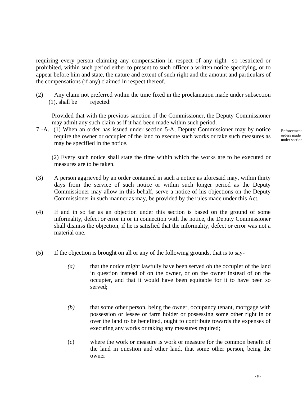requiring every person claiming any compensation in respect of any right so restricted or prohibited, within such period either to present to such officer a written notice specifying, or to appear before him and state, the nature and extent of such right and the amount and particulars of the compensations (if any) claimed in respect thereof.

(2) Any claim not preferred within the time fixed in the proclamation made under subsection (1), shall be rejected:

Provided that with the previous sanction of the Commissioner, the Deputy Commissioner may admit any such claim as if it had been made within such period.

7 -A. (1) When an order has issued under section 5-A, Deputy Commissioner may by notice require the owner or occupier of the land to execute such works or take such measures as may be specified in the notice.

Enforcement orders made under section

(2) Every such notice shall state the time within which the works are to be executed or measures are to be taken.

- (3) A person aggrieved by an order contained in such a notice as aforesaid may, within thirty days from the service of such notice or within such longer period as the Deputy Commissioner may allow in this behalf, serve a notice of his objections on the Deputy Commissioner in such manner as may, be provided by the rules made under this Act.
- (4) If and in so far as an objection under this section is based on the ground of some informality, defect or error in or in connection with the notice, the Deputy Commissioner shall dismiss the objection, if he is satisfied that the informality, defect or error was not a material one.
- (5) If the objection is brought on all or any of the following grounds, that is to say-
	- *(a)* that the notice might lawfully have been served ob the occupier of the land in question instead of on the owner, or on the owner instead of on the occupier, and that it would have been equitable for it to have been so served;
	- *(b)* that some other person, being the owner, occupancy tenant, mortgage with possession or lessee or farm holder or possessing some other right in or over the land to be benefited, ought to contribute towards the expenses of executing any works or taking any measures required;
	- (c) where the work or measure is work or measure for the common benefit of the land in question and other land, that some other person, being the owner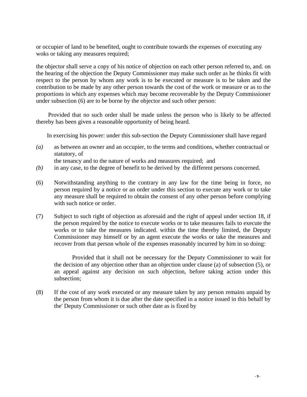or occupier of land to be benefited, ought to contribute towards the expenses of executing any woks or taking any measures required;

the objector shall serve a copy of his notice of objection on each other person referred to, and. on the hearing of the objection the Deputy Commissioner may make such order as he thinks fit with respect to the person by whom any work is to be executed or measure is to be taken and the contribution to be made by any other person towards the cost of the work or measure or as to the proportions in which any expenses which may become recoverable by the Deputy Commissioner under subsection (6) are to be borne by the objector and such other person:

Provided that no such order shall be made unless the person who is likely to be affected thereby has been given a reasonable opportunity of being heard.

In exercising his power: under this sub-section the Deputy Commissioner shall have regard

*(a)* as between an owner and an occupier, to the terms and conditions, whether contractual or statutory, of

the tenancy and to the nature of works and measures required; and

- *(b)* in any case, to the degree of benefit to be derived by the different persons concerned.
- (6) Notwithstanding anything to the contrary in any law for the time being in force, no person required by a notice or an order under this section to execute any work or to take any measure shall be required to obtain the consent of any other person before complying with such notice or order.
- (7) Subject to such right of objection as aforesaid and the right of appeal under section 18, if the person required by the notice to execute works or to take measures fails to execute the works or to take the measures indicated. within the time thereby limited, the Deputy Commissioner may himself or by an agent execute the works or take the measures and recover from that person whole of the expenses reasonably incurred by him in so doing:

 Provided that it shall not be necessary for the Deputy Commissioner to wait for the decision of any objection other than an objection under clause (a) of subsection (5), or an appeal against any decision on such objection, before taking action under this subsection;

(8) If the cost of any work executed or any measure taken by any person remains unpaid by the person from whom it is due after the date specified in a notice issued in this behalf by the' Deputy Commissioner or such other date as is fixed by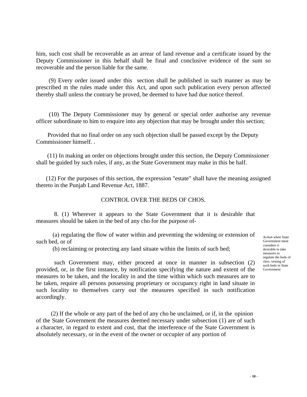him, such cost shall be recoverable as an arrear of land revenue and a certificate issued by the Deputy Commissioner in this behalf shall be final and conclusive evidence of the sum so recoverable and the person liable for the same.

(9) Every order issued under this section shall be published in such manner as may be prescribed m the rules made under this Act, and upon such publication every person affected thereby shall unless the contrary be proved, be deemed to have had due notice thereof.

(10) The Deputy Commissioner may by general or special order authorise any revenue officer subordinate to him to enquire into any objection that may be brought under this section;

Provided that no final order on any such objection shall be passed except by the Deputy Commissioner himself. .

(11) In making an order on objections brought under this section, the Deputy Commissioner shall be guided by such rules, if any, as the State Government may make in this be half.

 (12) For the purposes of this section, the expression "estate" shall have the meaning assigned thereto in the Punjab Land Revenue Act, 1887.

#### CONTROL OVER THE BEDS OF CHOS.

 8. (1) Wherever it appears to the State Government that it is desirable that measures should be taken in the bed of any cho for the purpose of-

(a) regulating the flow of water within and preventing the widening or extension of such bed, or of

(b) reclaiming or protecting any land situate within the limits of such bed;

 such Government may, either proceed at once in manner in subsection (2) provided, or, in the first instance, by notification specifying the nature and extent of the measures to be taken, and the locality in and the time within which such measures are to be taken, require all persons possessing proprietary or occupancy right in land situate in such locality to themselves carry out the measures specified in such notification accordingly.

 (2) If the whole or any part of the bed of any cho be unclaimed, or if, in the opinion of the State Government the measures deemed necessary under subsection (1) are of such a character, in regard to extent and cost, that the interference of the State Government is absolutely necessary, or in the event of the owner or occupier of any portion of

Action when State Government ment considers it desirable to take measures to regulate the beds of chos. vesting of such beds in State Government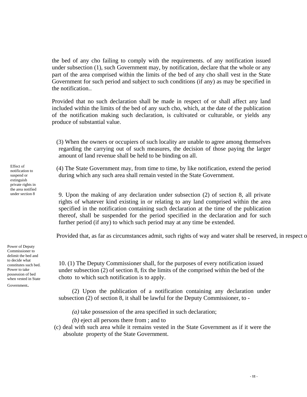the bed of any cho failing to comply with the requirements. of any notification issued under subsection (1), such Government may, by notification, declare that the whole or any part of the area comprised within the limits of the bed of any cho shall vest in the State Government for such period and subject to such conditions (if any) as may be specified in the notification. .

Provided that no such declaration shall be made in respect of or shall affect any land included within the limits of the bed of any such cho, which, at the date of the publication of the notification making such declaration, is cultivated or culturable, or yields any produce of substantial value.

(3) When the owners or occupiers of such locality are unable to agree among themselves regarding the carrying out of such measures, the decision of those paying the larger amount of land revenue shall be held to be binding on all.

(4) The State Government may, from time to time, by like notification, extend the period during which any such area shall remain vested in the State Government.

 9. Upon the making of any declaration under subsection (2) of section 8, all private rights of whatever kind existing in or relating to any land comprised within the area specified in the notification containing such declaration at the time of the publication thereof, shall be suspended for the period specified in the declaration and for such further period (if any) to which such period may at any time be extended.

Provided that, as far as circumstances admit, such rights of way and water shall be reserved, in respect o

Commissioner to delimit the bed and to decide what constitutes such bed. Power to take possession of bed when vested in State Government.

Power of Deputy

10. (1) The Deputy Commissioner shall, for the purposes of every notification issued under subsection (2) of section 8, fix the limits of the comprised within the bed of the choto to which such notification is to apply.

 (2) Upon the publication of a notification containing any declaration under subsection (2) of section 8, it shall be lawful for the Deputy Commissioner, to -

 *(a)* take possession of the area specified in such declaration;

 *(b)* eject all persons there from ; and to

(c) deal with such area while it remains vested in the State Government as if it were the absolute property of the State Government.

under section 8

Effect of notification to suspend or extinguish private rights in the area notified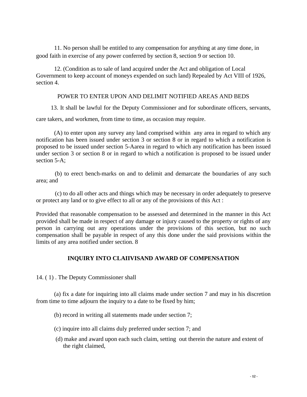11. No person shall be entitled to any compensation for anything at any time done, in good faith in exercise of any power conferred by section 8, section 9 or section 10.

 12. (Condition as to sale of land acquired under the Act and obligation of Local Government to keep account of moneys expended on such land) Repealed by Act VIII of 1926, section 4.

#### POWER TO ENTER UPON AND DELIMIT NOTIFIED AREAS AND BEDS

13. It shall be lawful for the Deputy Commissioner and for subordinate officers, servants,

care takers, and workmen, from time to time, as occasion may require.

 (A) to enter upon any survey any land comprised within any area in regard to which any notification has been issued under section 3 or section 8 or in regard to which a notification is proposed to be issued under section 5-Aarea in regard to which any notification has been issued under section 3 or section 8 or in regard to which a notification is proposed to be issued under section 5-A;

 (b) to erect bench-marks on and to delimit and demarcate the boundaries of any such area; and

 (c) to do all other acts and things which may be necessary in order adequately to preserve or protect any land or to give effect to all or any of the provisions of this Act :

Provided that reasonable compensation to be assessed and determined in the manner in this Act provided shall be made in respect of any damage or injury caused to the property or rights of any person in carrying out any operations under the provisions of this section, but no such compensation shall be payable in respect of any this done under the said provisions within the limits of any area notified under section. 8

## **INQUIRY INTO CLAIIVISAND AWARD OF COMPENSATION**

14. ( 1) . The Deputy Commissioner shall

 (a) fix a date for inquiring into all claims made under section 7 and may in his discretion from time to time adjourn the inquiry to a date to be fixed by him;

- (b) record in writing all statements made under section 7;
- (c) inquire into all claims duly preferred under section 7; and
- (d) make and award upon each such claim, setting out therein the nature and extent of the right claimed,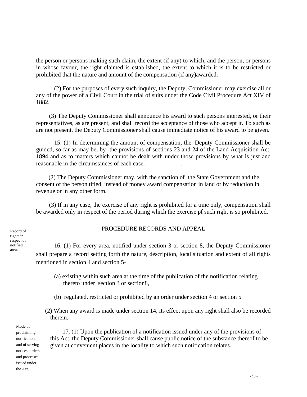the person or persons making such claim, the extent (if any) to which, and the person, or persons in whose favour, the right claimed is established, the extent to which it is to be restricted or prohibited that the nature and amount of the compensation (if any)awarded.

 (2) For the purposes of every such inquiry, the Deputy, Commissioner may exercise all or any of the power of a Civil Court in the trial of suits under the Code Civil Procedure Act XIV of 1882.

(3) The Deputy Commissioner shall announce his award to such persons interested, or their representatives, as are present, and shall record the acceptance of those who accept it. To such as are not present, the Deputy Commissioner shall cause immediate notice of his award to be given.

 15. (1) In determining the amount of compensation, the. Deputy Commissioner shall be guided, so far as may be, by the provisions of sections 23 and 24 of the Land Acquisition Act, 1894 and as to matters which cannot be dealt with under those provisions by what is just and reasonable in the circumstances of each case. . .

(2) The Deputy Commissioner may, with the sanction of the State Government and the consent of the person titled, instead of money award compensation in land or by reduction in revenue or in any other form.

 (3) If in any case, the exercise of any right is prohibited for a time only, compensation shall be awarded only in respect of the period during which the exercise pf such right is so prohibited.

PROCEDURE RECORDS AND APPEAL

 16. (1) For every area, notified under section 3 or section 8, the Deputy Commissioner shall prepare a record setting forth the nature, description, local situation and extent of all rights mentioned in section 4 and section 5-

- (a) existing within such area at the time of the publication of the notification relating thereto under section 3 or section8,
- (b) regulated, restricted or prohibited by an order under section 4 or section 5
- (2) When any award is made under section 14, its effect upon any right shall also be recorded therein.

Mode of proclaiming notifications and of serving notices, orders and processes issued under the Act.

17. (1) Upon the publication of a notification issued under any of the provisions of this Act, the Deputy Commissioner shall cause public notice of the substance thereof to be given at convenient places in the locality to which such notification relates.

Record of rights in